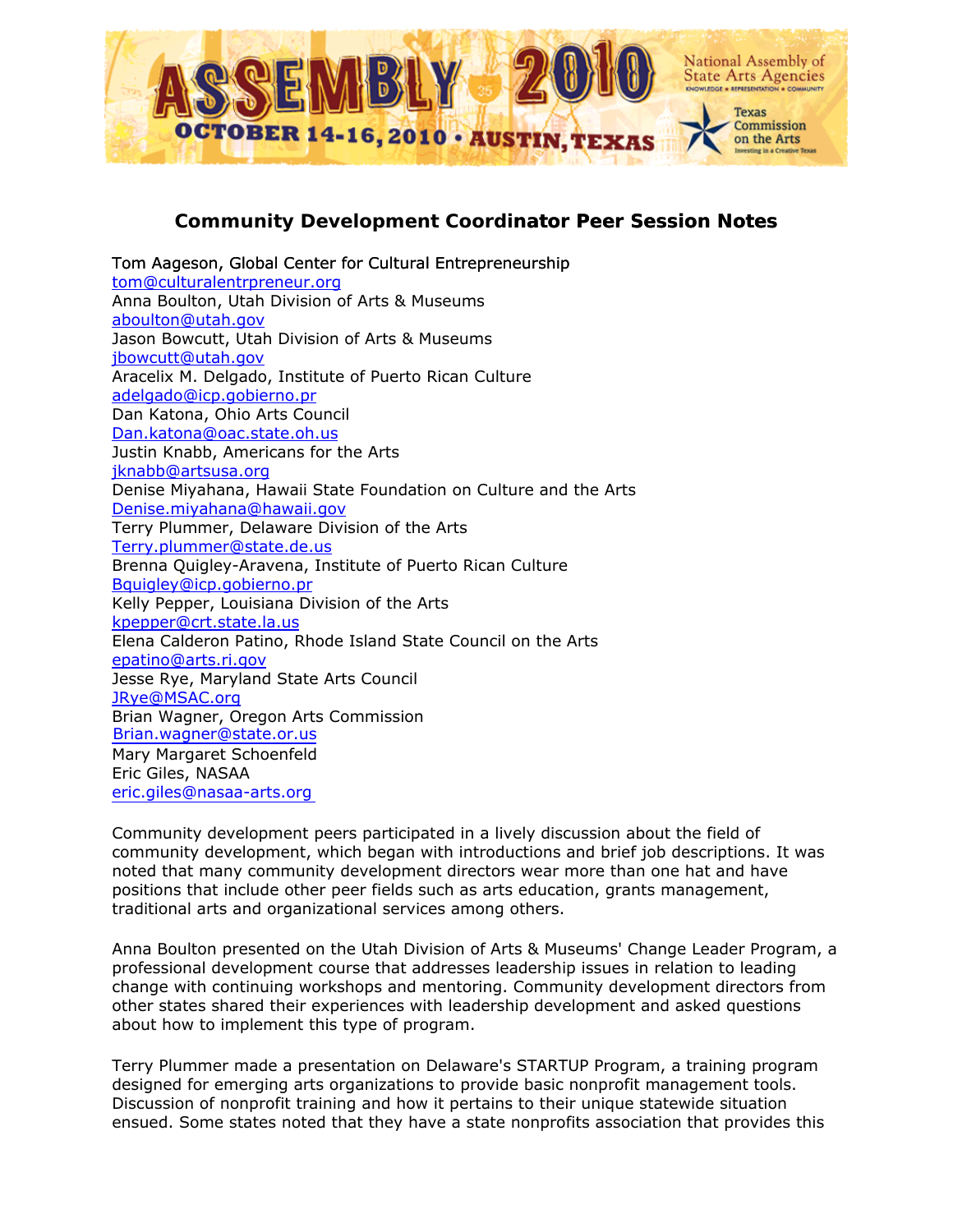

## **Community Development Coordinator Peer Session Notes**

[Tom Aageson, Global Center for Cultural Entrepreneurship](mailto:tom@culturalentrpreneur.org)  [tom@culturalentrpreneur.org](mailto:tom@culturalentrpreneur.org) Anna Boulton, Utah Division of Arts & Museums [aboulton@utah.gov](mailto:aboulton@utah.gov) Jason Bowcutt, Utah Division of Arts & Museums [jbowcutt@utah.gov](mailto:jbowcutt@utah.gov) Aracelix M. Delgado, Institute of Puerto Rican Culture [adelgado@icp.gobierno.pr](mailto:adelgado@icp.gobierno.pr) Dan Katona, Ohio Arts Council [Dan.katona@oac.state.oh.us](mailto:Dan.katona@oac.state.oh.us) Justin Knabb, Americans for the Arts [jknabb@artsusa.org](mailto:jknabb@artsusa.org) Denise Miyahana, Hawaii State Foundation on Culture and the Arts [Denise.miyahana@hawaii.gov](mailto:Denise.miyahana@hawaii.gov) Terry Plummer, Delaware Division of the Arts [Terry.plummer@state.de.us](mailto:Terry.plummer@state.de.us) Brenna Quigley-Aravena, Institute of Puerto Rican Culture [Bquigley@icp.gobierno.pr](mailto:Bquigley@icp.gobierno.pr) Kelly Pepper, Louisiana Division of the Arts [kpepper@crt.state.la.us](mailto:kpepper@crt.state.la.us) Elena Calderon Patino, Rhode Island State Council on the Arts [epatino@arts.ri.gov](mailto:epatino@arts.ri.gov) Jesse Rye, Maryland State Arts Council [JRye@MSAC.org](mailto:JRye@MSAC.org) Brian Wagner, Oregon Arts Commission Mary Margaret Schoenfeld Eric Giles, NASAA [eric.giles@nasaa-arts.org](mailto:eric.giles@nasaa-arts.org) [Brian.wagner@state.or.us](mailto:Brian.wagner@state.or.us)

Community development peers participated in a lively discussion about the field of community development, which began with introductions and brief job descriptions. It was noted that many community development directors wear more than one hat and have positions that include other peer fields such as arts education, grants management, traditional arts and organizational services among others.

Anna Boulton presented on the Utah Division of Arts & Museums' Change Leader Program, a professional development course that addresses leadership issues in relation to leading change with continuing workshops and mentoring. Community development directors from other states shared their experiences with leadership development and asked questions about how to implement this type of program.

Terry Plummer made a presentation on Delaware's STARTUP Program, a training program designed for emerging arts organizations to provide basic nonprofit management tools. Discussion of nonprofit training and how it pertains to their unique statewide situation ensued. Some states noted that they have a state nonprofits association that provides this